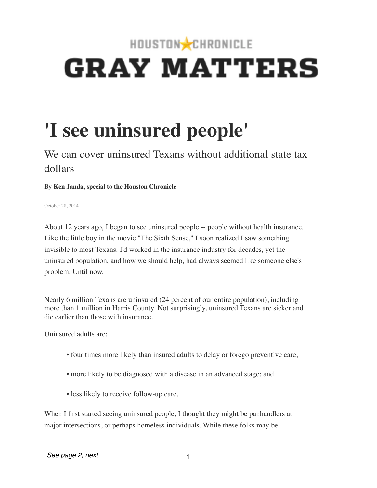## HOUSTON CHRONICLE **GRAY MATTERS**

## **'I see uninsured people'**

## We can cover uninsured Texans without additional state tax dollars

## **By Ken Janda, special to the Houston Chronicle**

October 28, 2014

About 12 years ago, I began to see uninsured people -- people without health insurance. Like the little boy in the movie "The Sixth Sense," I soon realized I saw something invisible to most Texans. I'd worked in the insurance industry for decades, yet the uninsured population, and how we should help, had always seemed like someone else's problem. Until now.

Nearly 6 million Texans are uninsured (24 percent of our entire population), including more than 1 million in Harris County. Not surprisingly, uninsured Texans are sicker and die earlier than those with insurance.

Uninsured adults are:

- four times more likely than insured adults to delay or forego preventive care;
- more likely to be diagnosed with a disease in an advanced stage; and
- less likely to receive follow-up care.

When I first started seeing uninsured people, I thought they might be panhandlers at major intersections, or perhaps homeless individuals. While these folks may be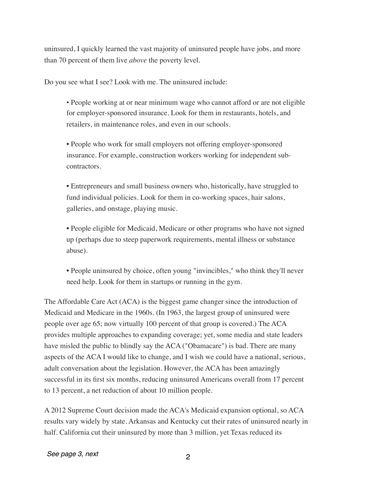uninsured, I quickly learned the vast majority of uninsured people have jobs, and more than 70 percent of them live *above* the poverty level.

Do you see what I see? Look with me. The uninsured include:

• People working at or near minimum wage who cannot afford or are not eligible for employer-sponsored insurance. Look for them in restaurants, hotels, and retailers, in maintenance roles, and even in our schools.

• People who work for small employers not offering employer-sponsored insurance. For example, construction workers working for independent subcontractors.

• Entrepreneurs and small business owners who, historically, have struggled to fund individual policies. Look for them in co-working spaces, hair salons, galleries, and onstage, playing music.

• People eligible for Medicaid, Medicare or other programs who have not signed up (perhaps due to steep paperwork requirements, mental illness or substance abuse).

• People uninsured by choice, often young "invincibles," who think they'll never need help. Look for them in startups or running in the gym.

The Affordable Care Act (ACA) is the biggest game changer since the introduction of Medicaid and Medicare in the 1960s. (In 1963, the largest group of uninsured were people over age 65; now virtually 100 percent of that group is covered.) The ACA provides multiple approaches to expanding coverage; yet, some media and state leaders have misled the public to blindly say the ACA ("Obamacare") is bad. There are many aspects of the ACA I would like to change, and I wish we could have a national, serious, adult conversation about the legislation. However, the ACA has been amazingly successful in its first six months, reducing uninsured Americans overall from 17 percent to 13 percent, a net reduction of about 10 million people.

A 2012 Supreme Court decision made the ACA's Medicaid expansion optional, so ACA results vary widely by state. Arkansas and Kentucky cut their rates of uninsured nearly in half. California cut their uninsured by more than 3 million, yet Texas reduced its